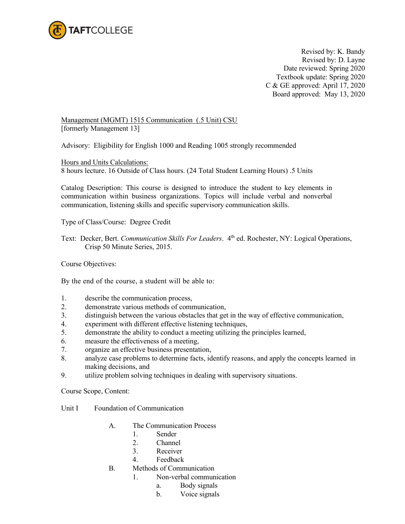

Revised by: K. Bandy Revised by: D. Layne Date reviewed: Spring 2020 Textbook update: Spring 2020 C & GE approved: April 17, 2020 Board approved: May 13, 2020

Management (MGMT) 1515 Communication (.5 Unit) CSU [formerly Management 13]

Advisory: Eligibility for English 1000 and Reading 1005 strongly recommended

Hours and Units Calculations: 8 hours lecture. 16 Outside of Class hours. (24 Total Student Learning Hours) .5 Units

Catalog Description: This course is designed to introduce the student to key elements in communication within business organizations. Topics will include verbal and nonverbal communication, listening skills and specific supervisory communication skills.

Type of Class/Course: Degree Credit

Text: Decker, Bert. *Communication Skills For Leaders*. 4th ed. Rochester, NY: Logical Operations, Crisp 50 Minute Series, 2015.

Course Objectives:

By the end of the course, a student will be able to:

- 1. describe the communication process,
- 2. demonstrate various methods of communication,
- 3. distinguish between the various obstacles that get in the way of effective communication,
- 4. experiment with different effective listening techniques,
- 5. demonstrate the ability to conduct a meeting utilizing the principles learned,
- 6. measure the effectiveness of a meeting,
- 7. organize an effective business presentation,
- 8. analyze case problems to determine facts, identify reasons, and apply the concepts learned in making decisions, and
- 9. utilize problem solving techniques in dealing with supervisory situations.

Course Scope, Content:

- Unit I Foundation of Communication
	- A. The Communication Process
		- 1. Sender
		- 2. Channel
		- 3. Receiver
		- 4. Feedback
	- B. Methods of Communication
		- 1. Non-verbal communication
			- a. Body signals
			- b. Voice signals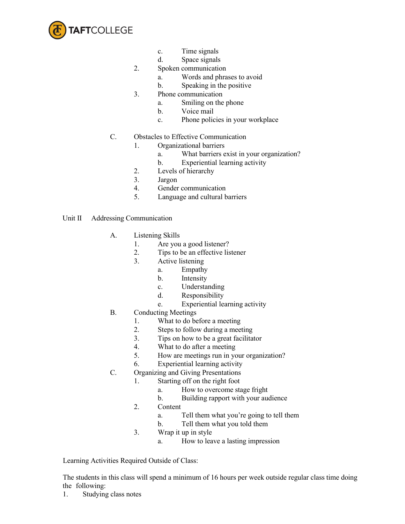

- c. Time signals
- d. Space signals
- 2. Spoken communication
	- a. Words and phrases to avoid
	- b. Speaking in the positive
- 3. Phone communication
	- a. Smiling on the phone
	- b. Voice mail
	- c. Phone policies in your workplace
- C. Obstacles to Effective Communication
	- 1. Organizational barriers
		- a. What barriers exist in your organization?
		- b. Experiential learning activity
	- 2. Levels of hierarchy
	- 3. Jargon
	- 4. Gender communication
	- 5. Language and cultural barriers
- Unit II Addressing Communication
	- A. Listening Skills
		- 1. Are you a good listener?
		- 2. Tips to be an effective listener
		- 3. Active listening
			- a. Empathy
				- b. Intensity
				- c. Understanding
				- d. Responsibility
				- e. Experiential learning activity
	- B. Conducting Meetings
		- 1. What to do before a meeting
		- 2. Steps to follow during a meeting
		- 3. Tips on how to be a great facilitator
		- 4. What to do after a meeting
		- 5. How are meetings run in your organization?
		- 6. Experiential learning activity
	- C. Organizing and Giving Presentations
		- 1. Starting off on the right foot
			- a. How to overcome stage fright
			- b. Building rapport with your audience
		- 2. Content
			- a. Tell them what you're going to tell them
			- b. Tell them what you told them
		- 3. Wrap it up in style
			- a. How to leave a lasting impression

Learning Activities Required Outside of Class:

The students in this class will spend a minimum of 16 hours per week outside regular class time doing the following:

1. Studying class notes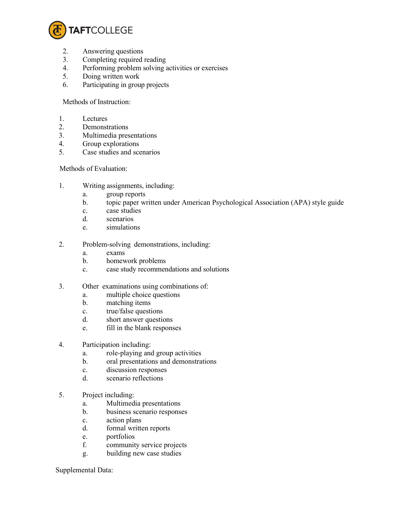

- 2. Answering questions
- 3. Completing required reading
- 4. Performing problem solving activities or exercises<br>5. Doing written work
- 5. Doing written work
- 6. Participating in group projects

Methods of Instruction:

- 1. Lectures
- 2. Demonstrations
- 3. Multimedia presentations
- 4. Group explorations
- 5. Case studies and scenarios

## Methods of Evaluation:

- 1. Writing assignments, including:
	- a. group reports
	- b. topic paper written under American Psychological Association (APA) style guide
	- c. case studies
	- d. scenarios
	- e. simulations
- 2. Problem-solving demonstrations, including:
	- a. exams
	- b. homework problems
	- c. case study recommendations and solutions
- 3. Other examinations using combinations of:
	- a. multiple choice questions
	- b. matching items
	- c. true/false questions
	- d. short answer questions
	- e. fill in the blank responses
- 4. Participation including:
	- a. role-playing and group activities
	- b. oral presentations and demonstrations
	- c. discussion responses
	- d. scenario reflections
- 5. Project including:
	- a. Multimedia presentations
	- b. business scenario responses
	- c. action plans
	- d. formal written reports
	- e. portfolios
	- f. community service projects
	- g. building new case studies

## Supplemental Data: